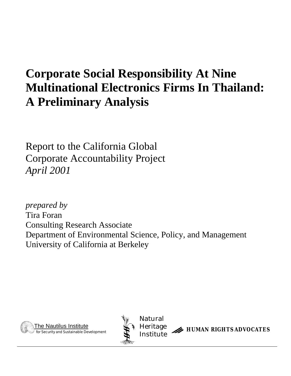# **Corporate Social Responsibility At Nine Multinational Electronics Firms In Thailand: A Preliminary Analysis**

Report to the California Global Corporate Accountability Project *April 2001*

*prepared by* Tira Foran Consulting Research Associate Department of Environmental Science, Policy, and Management University of California at Berkeley





HUMAN RIGHTS ADVOCATES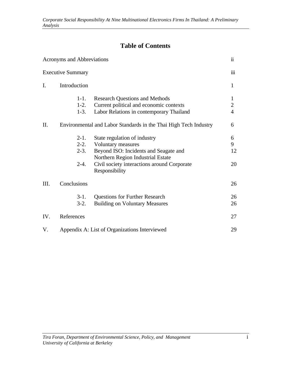# **Table of Contents**

|                | Acronyms and Abbreviations              |                                                                                                                                                                                                   | $\ddot{\mathbf{i}}$                   |
|----------------|-----------------------------------------|---------------------------------------------------------------------------------------------------------------------------------------------------------------------------------------------------|---------------------------------------|
|                | <b>Executive Summary</b>                |                                                                                                                                                                                                   | iii                                   |
| $\mathbf{I}$ . | Introduction                            |                                                                                                                                                                                                   | $\mathbf{1}$                          |
|                | $1 - 1$ .<br>$1-2.$<br>$1-3.$           | <b>Research Questions and Methods</b><br>Current political and economic contexts<br>Labor Relations in contemporary Thailand                                                                      | 1<br>$\overline{2}$<br>$\overline{4}$ |
| Π.             |                                         | Environmental and Labor Standards in the Thai High Tech Industry                                                                                                                                  | 6                                     |
|                | $2-1.$<br>$2-2.$<br>$2 - 3$ .<br>$2-4.$ | State regulation of industry<br>Voluntary measures<br>Beyond ISO: Incidents and Seagate and<br>Northern Region Industrial Estate<br>Civil society interactions around Corporate<br>Responsibility | 6<br>9<br>12<br>20                    |
| III.           | Conclusions                             |                                                                                                                                                                                                   | 26                                    |
|                | $3-1.$<br>$3-2.$                        | <b>Questions for Further Research</b><br><b>Building on Voluntary Measures</b>                                                                                                                    | 26<br>26                              |
| IV.            | References                              |                                                                                                                                                                                                   | 27                                    |
| V.             |                                         | Appendix A: List of Organizations Interviewed                                                                                                                                                     | 29                                    |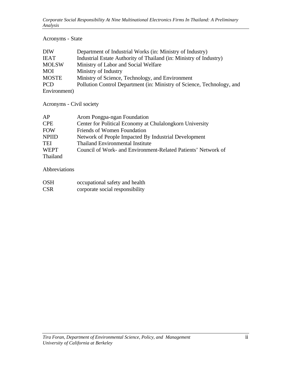### Acronyms - State

| DIW                                                                                                                   | Department of Industrial Works (in: Ministry of Industry)              |
|-----------------------------------------------------------------------------------------------------------------------|------------------------------------------------------------------------|
| <b>IEAT</b>                                                                                                           | Industrial Estate Authority of Thailand (in: Ministry of Industry)     |
| <b>MOLSW</b>                                                                                                          | Ministry of Labor and Social Welfare                                   |
| MOI                                                                                                                   | Ministry of Industry                                                   |
| <b>MOSTE</b>                                                                                                          | Ministry of Science, Technology, and Environment                       |
| <b>PCD</b>                                                                                                            | Pollution Control Department (in: Ministry of Science, Technology, and |
| $\Gamma_{\alpha}$ , $\Gamma_{\alpha}$ , $\Gamma_{\alpha}$ , $\Gamma_{\alpha}$ , $\Gamma_{\alpha}$ , $\Gamma_{\alpha}$ |                                                                        |

Environment)

Acronyms - Civil society

| AP           | Arom Pongpa-ngan Foundation                                   |
|--------------|---------------------------------------------------------------|
| <b>CPE</b>   | Center for Political Economy at Chulalongkorn University      |
| <b>FOW</b>   | Friends of Women Foundation                                   |
| <b>NPIID</b> | Network of People Impacted By Industrial Development          |
| TEI          | <b>Thailand Environmental Institute</b>                       |
| <b>WEPT</b>  | Council of Work- and Environment-Related Patients' Network of |
| Thailand     |                                                               |

Abbreviations

| <b>OSH</b> | occupational safety and health  |
|------------|---------------------------------|
| <b>CSR</b> | corporate social responsibility |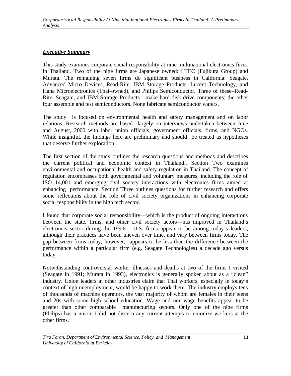#### *Executive Summary*

This study examines corporate social responsibility at nine multinational electronics firms in Thailand. Two of the nine firms are Japanese owned: LTEC (Fujikura Group) and Murata. The remaining seven firms do significant business in California: Seagate, Advanced Micro Devices, Read-Rite, IBM Storage Products, Lucent Technology, and Hana Microelectronics (Thai-owned), and Philips Semiconductor. Three of these–Read-Rite, Seagate, and IBM Storage Products—make hard-disk drive components; the other four assemble and test semiconductors. None fabricate semiconductor wafers.

The study is focused on environmental health and safety management and on labor relations. Research methods are based largely on interviews undertaken between June and August, 2000 with labor union officials, government officials, firms, and NGOs. While insightful, the findings here are preliminary and should be treated as hypotheses that deserve further exploration.

The first section of the study outlines the research questions and methods and describes the current political and economic context in Thailand.. Section Two examines environmental and occupational health and safety regulation in Thailand. The concept of regulation encompasses both governmental and voluntary measures, including the role of ISO 14,001 and emerging civil society interactions with electronics firms aimed at enhancing performance. Section Three outlines questions for further research and offers some reflections about the role of civil society organizations in enhancing corporate social responsibility in the high tech sector.

I found that corporate social responsibility—which is the product of ongoing interactions between the state, firms, and other civil society actors—has improved in Thailand's electronics sector during the 1990s. U.S. firms appear to be among today's leaders, although their practices have been uneven over time, and vary between firms today. The gap between firms today, however, appears to be less than the difference between the performance within a particular firm (e.g. Seagate Technologies) a decade ago versus today.

Notwithstanding controversial worker illnesses and deaths at two of the firms I visited (Seagate in 1991; Murata in 1993), electronics is generally spoken about as a "clean" industry. Union leaders in other industries claim that Thai workers, especially in today's context of high unemployment, would be happy to work there. The industry employs tens of thousands of machine operators, the vast majority of whom are females in their teens and 20s with some high school education. Wage and non-wage benefits appear to be greater than other comparable manufacturing sectors. Only one of the nine firms (Philips) has a union. I did not discern any current attempts to unionize workers at the other firms.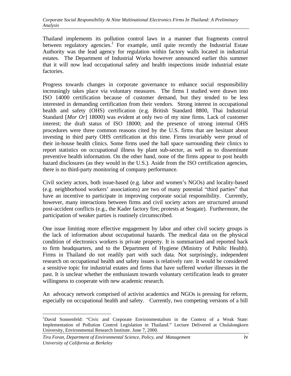Thailand implements its pollution control laws in a manner that fragments control between regulatory agencies.<sup>1</sup> For example, until quite recently the Industrial Estate Authority was the lead agency for regulation within factory walls located in industrial estates. The Department of Industrial Works however announced earlier this summer that it will now lead occupational safety and health inspections inside industrial estate factories.

Progress towards changes in corporate governance to enhance social responsibility increasingly takes place via voluntary measures. The firms I studied were drawn into ISO 14000 certification because of customer demand, but they tended to be less interested in demanding certification from their vendors. Strong interest in occupational health and safety (OHS) certification (e.g. British Standard 8800, Thai Industrial Standard [*Mor Or*] 18000) was evident at only two of my nine firms. Lack of customer interest; the draft status of ISO 18000; and the presence of strong internal OHS procedures were three common reasons cited by the U.S. firms that are hesitant about investing in third party OHS certification at this time. Firms invariably were proud of their in-house health clinics. Some firms used the hall space surrounding their clinics to report statistics on occupational illness by plant sub-sector, as well as to disseminate preventive health information. On the other hand, none of the firms appear to post health hazard disclosures (as they would in the U.S.). Aside from the ISO certification agencies, there is no third-party monitoring of company performance.

Civil society actors, both issue-based (e.g. labor and women's NGOs) and locality-based (e.g. neighborhood workers' associations) are two of many potential "third parties" that have an incentive to participate in improving corporate social responsibility. Currently, however, many interactions between firms and civil society actors are structured around post-accident conflicts (e.g., the Kader factory fire; protests at Seagate). Furthermore, the participation of weaker parties is routinely circumscribed.

One issue limiting more effective engagement by labor and other civil society groups is the lack of information about occupational hazards. The medical data on the physical condition of electronics workers is private property. It is summarized and reported back to firm headquarters, and to the Department of Hygiene (Ministry of Public Health). Firms in Thailand do not readily part with such data. Not surprisingly, independent research on occupational health and safety issues is relatively rare. It would be considered a sensitive topic for industrial estates and firms that have suffered worker illnesses in the past. It is unclear whether the enthusiasm towards voluntary certification leads to greater willingness to cooperate with new academic research.

An advocacy network comprised of activist academics and NGOs is pressing for reform, especially on occupational health and safety. Currently, two competing versions of a bill

 $\overline{a}$ <sup>1</sup>David Sonnenfeld: "Civic and Corporate Environmentalism in the Context of a Weak State: Implementation of Pollution Control Legislation in Thailand." Lecture Delivered at Chulalongkorn University, Environmental Research Institute. June 7, 2000.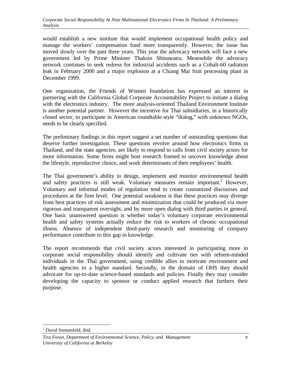would establish a new institute that would implement occupational health policy and manage the workers' compensation fund more transparently. However, the issue has moved slowly over the past three years. This year the advocacy network will face a new government led by Prime Minister Thaksin Shinawatra. Meanwhile the advocacy network continues to seek redress for industrial accidents such as a Cobalt-60 radiation leak in February 2000 and a major explosion at a Chiang Mai fruit processing plant in December 1999.

One organization, the Friends of Women foundation has expressed an interest in partnering with the California Global Corporate Accountability Project to initiate a dialog with the electronics industry. The more analysis-oriented Thailand Environment Institute is another potential partner. However the incentive for Thai subsidiaries, in a historically closed sector, to participate in American roundtable-style "dialog," with unknown NGOs, needs to be clearly specified.

The preliminary findings in this report suggest a set number of outstanding questions that deserve further investigation. These questions revolve around how electronics firms in Thailand, and the state agencies, are likely to respond to calls from civil society actors for more information. Some firms might host research framed to uncover knowledge about the lifestyle, reproductive choice, and work determinants of their employees' health.

The Thai government's ability to design, implement and monitor environmental health and safety practices is still weak. Voluntary measures remain important.<sup>2</sup> However, Voluntary and informal modes of regulation tend to create customized discourses and procedures at the firm level. One potential weakness is that these practices may diverge from best practices of risk assessment and minimization that could be produced via more rigorous and transparent oversight, and by more open dialog with third parties in general. One basic unanswered question is whether today's voluntary corporate environmental health and safety systems actually reduce the risk to workers of chronic occupational illness. Absence of independent third-party research and monitoring of company performance contribute to this gap in knowledge.

The report recommends that civil society actors interested in participating more in corporate social responsibility should identify and cultivate ties with reform-minded individuals in the Thai government, using credible allies to motivate environment and health agencies to a higher standard. Secondly, in the domain of OHS they should advocate for up-to-date science-based standards and policies. Finally they may consider developing the capacity to sponsor or conduct applied research that furthers their purpose.

<sup>&</sup>lt;u>.</u> <sup>2</sup> David Sonnenfeld, ibid.

*Tira Foran, Department of Environmental Science, Policy, and Management* v *University of California at Berkeley*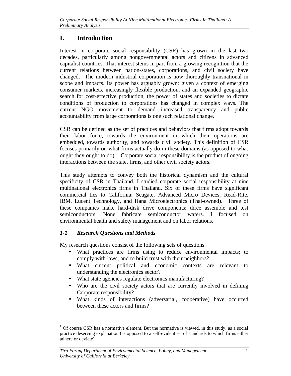# **I. Introduction**

Interest in corporate social responsibility (CSR) has grown in the last two decades, particularly among nongovernmental actors and citizens in advanced capitalist countries. That interest stems in part from a growing recognition that the current relations between nation-states, corporations, and civil society have changed. The modern industrial corporation is now thoroughly transnational in scope and impacts. Its power has arguably grown: given a context of emerging consumer markets, increasingly flexible production, and an expanded geographic search for cost-effective production, the power of states and societies to dictate conditions of production to corporations has changed in complex ways. The current NGO movement to demand increased transparency and public accountability from large corporations is one such relational change.

CSR can be defined as the set of practices and behaviors that firms adopt towards their labor force, towards the environment in which their operations are embedded, towards authority, and towards civil society. This definition of CSR focuses primarily on what firms actually do in these domains (as opposed to what ought they ought to do).<sup>1</sup> Corporate social responsibility is the product of ongoing interactions between the state, firms, and other civil society actors.

This study attempts to convey both the historical dynamism and the cultural specificity of CSR in Thailand. I studied corporate social responsibility at nine multinational electronics firms in Thailand. Six of these firms have significant commercial ties to California: Seagate, Advanced Micro Devices, Read-Rite, IBM, Lucent Technology, and Hana Microelectronics (Thai-owned). Three of these companies make hard-disk drive components; three assemble and test semiconductors. None fabricate semiconductor wafers. I focused on environmental health and safety management and on labor relations.

# *1-1 Research Questions and Methods*

My research questions consist of the following sets of questions.

- What practices are firms using to reduce environmental impacts; to comply with laws; and to build trust with their neighbors?
- What current political and economic contexts are relevant to understanding the electronics sector?
- What state agencies regulate electronics manufacturing?
- Who are the civil society actors that are currently involved in defining Corporate responsibility?
- What kinds of interactions (adversarial, cooperative) have occurred between these actors and firms?

<sup>-</sup> $1$  Of course CSR has a normative element. But the normative is viewed, in this study, as a social practice deserving explanation (as opposed to a self-evident set of standards to which firms either adhere or deviate).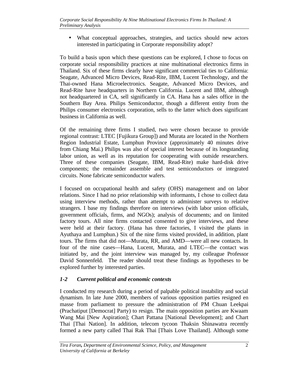• What conceptual approaches, strategies, and tactics should new actors interested in participating in Corporate responsibility adopt?

To build a basis upon which these questions can be explored, I chose to focus on corporate social responsibility practices at nine multinational electronics firms in Thailand. Six of these firms clearly have significant commercial ties to California: Seagate, Advanced Micro Devices, Read-Rite, IBM, Lucent Technology, and the Thai-owned Hana Microelectronics. Seagate, Advanced Micro Devices, and Read-Rite have headquarters in Northern California. Lucent and IBM, although not headquartered in CA, sell significantly in CA. Hana has a sales office in the Southern Bay Area. Philips Semiconductor, though a different entity from the Philips consumer electronics corporation, sells to the latter which does significant business in California as well.

Of the remaining three firms I studied, two were chosen because to provide regional contrast: LTEC [Fujikura Group]) and Murata are located in the Northern Region Industrial Estate, Lumphun Province (approximately 40 minutes drive from Chiang Mai.) Philips was also of special interest because of its longstanding labor union, as well as its reputation for cooperating with outside researchers. Three of these companies (Seagate, IBM, Read-Rite) make hard-disk drive components; the remainder assemble and test semiconductors or integrated circuits. None fabricate semiconductor wafers.

I focused on occupational health and safety (OHS) management and on labor relations. Since I had no prior relationship with informants, I chose to collect data using interview methods, rather than attempt to administer surveys to relative strangers. I base my findings therefore on interviews (with labor union officials, government officials, firms, and NGOs); analysis of documents; and on limited factory tours. All nine firms contacted consented to give interviews, and these were held at their factory. (Hana has three factories, I visited the plants in Ayuthaya and Lumphun.) Six of the nine firms visited provided, in addition, plant tours. The firms that did not—Murata, RR, and AMD—were all new contacts. In four of the nine cases—Hana, Lucent, Murata, and LTEC—the contact was initiated by, and the joint interview was managed by, my colleague Professor David Sonnenfeld. The reader should treat these findings as hypotheses to be explored further by interested parties.

## *1-2 Current political and economic contexts*

I conducted my research during a period of palpable political instability and social dynamism. In late June 2000, members of various opposition parties resigned en masse from parliament to pressure the administration of PM Chuan Leekpai (Prachatiput [Democrat] Party) to resign. The main opposition parties are Kwaam Wang Mai [New Aspiration]; Chart Pattana [National Development]; and Chart Thai [Thai Nation]. In addition, telecom tycoon Thaksin Shinawatra recently formed a new party called Thai Rak Thai [Thais Love Thailand]. Although some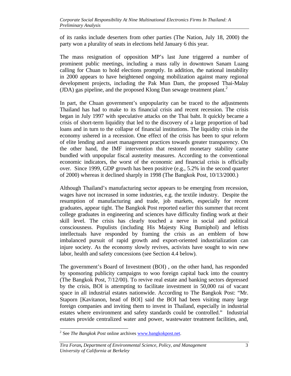of its ranks include deserters from other parties (The Nation, July 18, 2000) the party won a plurality of seats in elections held January 6 this year.

The mass resignation of opposition MP's last June triggered a number of prominent public meetings, including a mass rally in downtown Sanam Luang calling for Chuan to hold elections promptly. In addition, the national instability in 2000 appears to have heightened ongoing mobilization against many regional development projects, including the Pak Mun Dam, the proposed Thai-Malay (JDA) gas pipeline, and the proposed Klong Dan sewage treatment plant. $<sup>2</sup>$ </sup>

In part, the Chuan government's unpopularity can be traced to the adjustments Thailand has had to make to its financial crisis and recent recession. The crisis began in July 1997 with speculative attacks on the Thai baht. It quickly became a crisis of short-term liquidity that led to the discovery of a large proportion of bad loans and in turn to the collapse of financial institutions. The liquidity crisis in the economy ushered in a recession. One effect of the crisis has been to spur reform of elite lending and asset management practices towards greater transparency. On the other hand, the IMF intervention that restored monetary stability came bundled with unpopular fiscal austerity measures. According to the conventional economic indicators, the worst of the economic and financial crisis is officially over. Since 1999, GDP growth has been positive (e.g., 5.2% in the second quarter of 2000) whereas it declined sharply in 1998 (The Bangkok Post, 10/13/2000.)

Although Thailand's manufacturing sector appears to be emerging from recession, wages have not increased in some industries, e.g. the textile industry. Despite the resumption of manufacturing and trade, job markets, especially for recent graduates, appear tight. The Bangkok Post reported earlier this summer that recent college graduates in engineering and sciences have difficulty finding work at their skill level. The crisis has clearly touched a nerve in social and political consciousness. Populists (including His Majesty King Bumiphol) and leftists intellectuals have responded by framing the crisis as an emblem of how imbalanced pursuit of rapid growth and export-oriented industrialization can injure society. As the economy slowly revives, activists have sought to win new labor, health and safety concessions (see Section 4.4 below).

The government's Board of Investment (BOI) , on the other hand, has responded by sponsoring publicity campaigns to woo foreign capital back into the country (The Bangkok Post, 7/12/00). To revive real estate and banking sectors depressed by the crisis, BOI is attempting to facilitate investment in 50,000 rai of vacant space in all industrial estates nationwide. According to The Bangkok Post: "Mr. Staporn [Kavitanon, head of BOI] said the BOI had been visiting many large foreign companies and inviting them to invest in Thailand, especially in industrial estates where environment and safety standards could be controlled." Industrial estates provide centralized water and power, wastewater treatment facilities, and,

<sup>&</sup>lt;sup>2</sup> See *The Bangkok Post* online archives www.bangkokpost.net.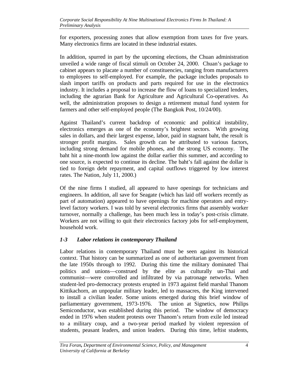for exporters, processing zones that allow exemption from taxes for five years. Many electronics firms are located in these industrial estates.

In addition, spurred in part by the upcoming elections, the Chuan administration unveiled a wide range of fiscal stimuli on October 24, 2000. Chuan's package to cabinet appears to placate a number of constituencies, ranging from manufacturers to employees to self-employed. For example, the package includes proposals to slash import tariffs on products and parts required for use in the electronics industry. It includes a proposal to increase the flow of loans to specialized lenders, including the agrarian Bank for Agriculture and Agricultural Co-operatives. As well, the administration proposes to design a retirement mutual fund system for farmers and other self-employed people (The Bangkok Post, 10/24/00).

Against Thailand's current backdrop of economic and political instability, electronics emerges as one of the economy's brightest sectors. With growing sales in dollars, and their largest expense, labor, paid in stagnant baht, the result is stronger profit margins. Sales growth can be attributed to various factors, including strong demand for mobile phones, and the strong US economy. The baht hit a nine-month low against the dollar earlier this summer, and according to one source, is expected to continue its decline. The baht's fall against the dollar is tied to foreign debt repayment, and capital outflows triggered by low interest rates. The Nation, July 11, 2000.)

Of the nine firms I studied, all appeared to have openings for technicians and engineers. In addition, all save for Seagate (which has laid off workers recently as part of automation) appeared to have openings for machine operators and entrylevel factory workers. I was told by several electronics firms that assembly worker turnover, normally a challenge, has been much less in today's post-crisis climate. Workers are not willing to quit their electronics factory jobs for self-employment, household work.

## *1-3 Labor relations in contemporary Thailand*

Labor relations in contemporary Thailand must be seen against its historical context. That history can be summarized as one of authoritarian government from the late 1950s through to 1992. During this time the military dominated Thai politics and unions—construed by the elite as culturally un-Thai and communist—were controlled and infiltrated by via patronage networks. When student-led pro-democracy protests erupted in 1973 against field marshal Thanom Kittikachorn, an unpopular military leader, led to massacres, the King intervened to install a civilian leader. Some unions emerged during this brief window of parliamentary government, 1973-1976. The union at Signetics, now Philips Semiconductor, was established during this period. The window of democracy ended in 1976 when student protests over Thanom's return from exile led instead to a military coup, and a two-year period marked by violent repression of students, peasant leaders, and union leaders. During this time, leftist students,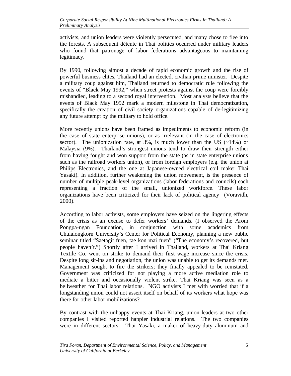activists, and union leaders were violently persecuted, and many chose to flee into the forests. A subsequent détente in Thai politics occurred under military leaders who found that patronage of labor federations advantageous to maintaining legitimacy.

By 1990, following almost a decade of rapid economic growth and the rise of powerful business elites, Thailand had an elected, civilian prime minister. Despite a military coup against him, Thailand returned to democratic rule following the events of "Black May 1992," when street protests against the coup were forcibly mishandled, leading to a second royal intervention. Most analysts believe that the events of Black May 1992 mark a modern milestone in Thai democratization, specifically the creation of civil society organizations capable of de-legitimizing any future attempt by the military to hold office.

More recently unions have been framed as impediments to economic reform (in the case of state enterprise unions), or as irrelevant (in the case of electronics sector). The unionization rate, at  $3\%$ , is much lower than the US (~14%) or Malaysia (9%). Thailand's strongest unions tend to draw their strength either from having fought and won support from the state (as in state enterprise unions such as the railroad workers union), or from foreign employers (e.g. the union at Philips Electronics, and the one at Japanese-owned electrical coil maker Thai Yasaki). In addition, further weakening the union movement, is the presence of number of multiple peak-level organizations (labor federations and councils) each representing a fraction of the small, unionized workforce. These labor organizations have been criticized for their lack of political agency (Voravidh, 2000).

According to labor activists, some employers have seized on the lingering effects of the crisis as an excuse to defer workers' demands. (I observed the Arom Pongpa-ngan Foundation, in conjunction with some academics from Chulalongkorn University's Center for Political Economy, planning a new public seminar titled "Saetagit fuen, tae kon mai fuen" ("The economy's recovered, but people haven't.") Shortly after I arrived in Thailand, workers at Thai Kriang Textile Co. went on strike to demand their first wage increase since the crisis. Despite long sit-ins and negotiation, the union was unable to get its demands met. Management sought to fire the strikers; they finally appealed to be reinstated. Government was criticized for not playing a more active mediation role to mediate a bitter and occasionally violent strike. Thai Kriang was seen as a bellweather for Thai labor relations. NGO activists I met with worried that if a longstanding union could not assert itself on behalf of its workers what hope was there for other labor mobilizations?

By contrast with the unhappy events at Thai Kriang, union leaders at two other companies I visited reported happier industrial relations. The two companies were in different sectors: Thai Yasaki, a maker of heavy-duty aluminum and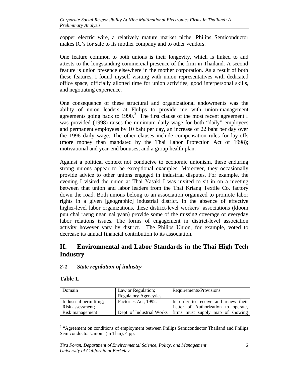copper electric wire, a relatively mature market niche. Philips Semiconductor makes IC's for sale to its mother company and to other vendors.

One feature common to both unions is their longevity, which is linked to and attests to the longstanding commercial presence of the firm in Thailand. A second feature is union presence elsewhere in the mother corporation. As a result of both these features, I found myself visiting with union representatives with dedicated office space, officially allotted time for union activities, good interpersonal skills, and negotiating experience.

One consequence of these structural and organizational endowments was the ability of union leaders at Philips to provide me with union-management agreements going back to 1990.<sup>3</sup> The first clause of the most recent agreement I was provided (1998) raises the minimum daily wage for both "daily" employees and permanent employees by 10 baht per day, an increase of 22 baht per day over the 1996 daily wage. The other clauses include compensation rules for lay-offs (more money than mandated by the Thai Labor Protection Act of 1998); motivational and year-end bonuses; and a group health plan.

Against a political context not conducive to economic unionism, these enduring strong unions appear to be exceptional examples. Moreover, they occasionally provide advice to other unions engaged in industrial disputes. For example, the evening I visited the union at Thai Yasaki I was invited to sit in on a meeting between that union and labor leaders from the Thai Kriang Textile Co. factory down the road. Both unions belong to an association organized to promote labor rights in a given [geographic] industrial district. In the absence of effective higher-level labor organizations, these district-level workers' associations (kloom puu chai raeng ngan nai yaan) provide some of the missing coverage of everyday labor relations issues. The forms of engagement in district-level association activity however vary by district. The Philips Union, for example, voted to decrease its annual financial contribution to its association.

# **II. Environmental and Labor Standards in the Thai High Tech Industry**

#### *2-1 State regulation of industry*

#### **Table 1.**

 $\overline{a}$ 

| Domain                 | Law or Regulation;    | Requirements/Provisions                                      |
|------------------------|-----------------------|--------------------------------------------------------------|
|                        | Regulatory Agency/ies |                                                              |
| Industrial permitting; | Factories Act, 1992.  | In order to receive and renew their                          |
| Risk assessment:       |                       | Letter of Authorization to operate,                          |
| Risk management        |                       | Dept. of Industrial Works   firms must supply map of showing |

<sup>&</sup>lt;sup>3</sup> "Agreement on conditions of employment between Philips Semiconductor Thailand and Philips Semiconductor Union" (in Thai), 4 pp.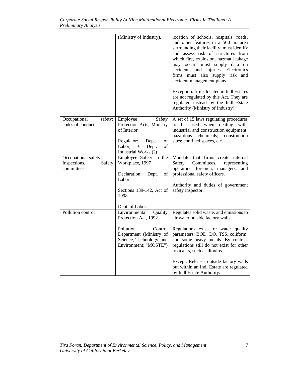|                                                              | (Ministry of Industry).                                                                                                                                                                                                                    | location of schools, hospitals, roads,<br>and other features in a 500 m. area<br>surrounding their facility; must identify<br>and assess risk of structures from<br>which fire, explosion, hazmat leakage<br>may occur; must supply data on<br>accidents and injuries. Electronics<br>firms must also supply risk and<br>accident management plans.<br>Exception: firms located in Indl Estates<br>are not regulated by this Act. They are<br>regulated instead by the Indl Estate<br>Authority (Ministry of Industry). |
|--------------------------------------------------------------|--------------------------------------------------------------------------------------------------------------------------------------------------------------------------------------------------------------------------------------------|-------------------------------------------------------------------------------------------------------------------------------------------------------------------------------------------------------------------------------------------------------------------------------------------------------------------------------------------------------------------------------------------------------------------------------------------------------------------------------------------------------------------------|
| Occupational<br>safety:<br>codes of conduct                  | Employee<br>Safety<br>Protection Acts, Ministry<br>of Interior<br>$_{\mathrm{of}}$<br>Regulator:<br>Dept.<br>Labor,<br>Dept.<br>οf<br>$+$<br>Industrial Works (?)                                                                          | A set of 15 laws regulating procedures<br>used<br>when<br>dealing<br>with:<br>to<br>be<br>industrial and construction equipment;<br>chemicals; construction<br>hazardous<br>sites; confined spaces, etc.                                                                                                                                                                                                                                                                                                                |
| Occupational safety:<br>Inspections,<br>Safety<br>committees | Employee Safety in the<br>Workplace, 1997<br>$% \left( \left( \mathcal{A},\mathcal{A}\right) \right) =\left( \mathcal{A},\mathcal{A}\right)$ of<br>Declaration,<br>Dept.<br>Labor.<br>Sections 139-142, Act of<br>1998.<br>Dept. of Labor. | Mandate that firms create internal<br>Safety<br>Committees,<br>representing<br>operators, foremen, managers, and<br>professional safety officers.<br>Authority and duties of government<br>safety inspector.                                                                                                                                                                                                                                                                                                            |
| Pollution control                                            | Environmental<br>Quality<br>Protection Act, 1992.<br>Pollution<br>Control<br>Department (Ministry of<br>Science, Technology, and<br>Environment; "MOSTE")                                                                                  | Regulates solid waste, and emissions to<br>air water outside factory walls.<br>Regulations exist for water quality<br>parameters: BOD, DO, TSS, coliform,<br>and some heavy metals. By contrast<br>regulations still do not exist for other<br>toxicants, such as dioxins.<br>Except: Releases outside factory walls<br>but within an Indl Estate are regulated<br>by Indl Estate Authority.                                                                                                                            |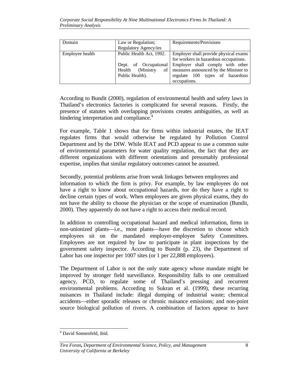| Domain          | Law or Regulation;       | Requirements/Provisions                                |
|-----------------|--------------------------|--------------------------------------------------------|
|                 | Regulatory Agency/ies    |                                                        |
| Employee health | Public Health Act, 1992. | Employer shall provide physical exams                  |
|                 |                          | for workers in hazardous occupations.                  |
|                 |                          | Dept. of Occupational Employer shall comply with other |
|                 | (Ministry)<br>Health     | of   measures announced by the Minister to             |
|                 | Public Health).          | regulate 100 types of hazardous                        |
|                 |                          | occupations.                                           |

According to Bundit (2000), regulation of environmental health and safety laws in Thailand's electronics factories is complicated for several reasons. Firstly, the presence of statutes with overlapping provisions creates ambiguities, as well as hindering interpretation and compliance.<sup>4</sup>

For example, Table 1 shows that for firms within industrial estates, the IEAT regulates firms that would otherwise be regulated by Pollution Control Department and by the DIW. While IEAT and PCD appear to use a common suite of environmental parameters for water quality regulation, the fact that they are different organizations with different orientations and presumably professional expertise, implies that similar regulatory outcomes cannot be assumed.

Secondly, potential problems arise from weak linkages between employees and information to which the firm is privy. For example, by law employees do not have a right to know about occupational hazards, nor do they have a right to decline certain types of work. When employees are given physical exams, they do not have the ability to choose the physician or the scope of examination (Bundit, 2000). They apparently do not have a right to access their medical record.

In addition to controlling occupational hazard and medical information, firms in non-unionized plants—i.e., most plants—have the discretion to choose which employees sit on the mandated employer-employee Safety Committees. Employees are not required by law to participate in plant inspections by the government safety inspector. According to Bundit (p. 23), the Department of Labor has one inspector per 1007 sites (or 1 per 22,888 employees).

The Department of Labor is not the only state agency whose mandate might be improved by stronger field surveillance. Responsibility falls to one centralized agency, PCD, to regulate some of Thailand's pressing and recurrent environmental problems. According to Sukran et al. (1999), these recurring nuisances in Thailand include: illegal dumping of industrial waste; chemical accidents—either sporadic releases or chronic nuisance emissions; and non-point source biological pollution of rivers. A combination of factors appear to have

 4 David Sonnenfeld, ibid.

*Tira Foran, Department of Environmental Science, Policy, and Management* 8 *University of California at Berkeley*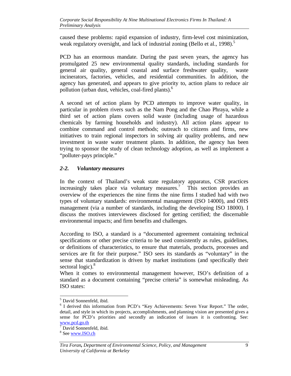caused these problems: rapid expansion of industry, firm-level cost minimization, weak regulatory oversight, and lack of industrial zoning (Bello et al., 1998).<sup>5</sup>

PCD has an enormous mandate. During the past seven years, the agency has promulgated 25 new environmental quality standards, including standards for general air quality, general coastal and surface freshwater quality, waste incinerators, factories, vehicles, and residential communities. In addition, the agency has generated, and appears to give priority to, action plans to reduce air pollution (urban dust, vehicles, coal-fired plants).<sup>6</sup>

A second set of action plans by PCD attempts to improve water quality, in particular in problem rivers such as the Nam Pong and the Chao Phraya, while a third set of action plans covers solid waste (including usage of hazardous chemicals by farming households and industry). All action plans appear to combine command and control methods; outreach to citizens and firms, new initiatives to train regional inspectors in solving air quality problems, and new investment in waste water treatment plants. In addition, the agency has been trying to sponsor the study of clean technology adoption, as well as implement a "polluter-pays principle."

#### *2-2. Voluntary measures*

In the context of Thailand's weak state regulatory apparatus, CSR practices increasingly takes place via voluntary measures.<sup>7</sup> This section provides an overview of the experiences the nine firms the nine firms I studied had with two types of voluntary standards: environmental management (ISO 14000), and OHS management (via a number of standards, including the developing ISO 18000). I discuss the motives interviewees disclosed for getting certified; the discernable environmental impacts; and firm benefits and challenges.

According to ISO, a standard is a "documented agreement containing technical specifications or other precise criteria to be used consistently as rules, guidelines, or definitions of characteristics, to ensure that materials, products, processes and services are fit for their purpose." ISO sees its standards as "voluntary" in the sense that standardization is driven by market institutions (and specifically their sectoral logic).<sup>8</sup>

When it comes to environmental management however, ISO's definition of a standard as a document containing "precise criteria" is somewhat misleading. As ISO states:

 5 David Sonnenfeld, ibid.

<sup>&</sup>lt;sup>6</sup> I derived this information from PCD's "Key Achievements: Seven Year Report." The order, detail, and style in which its projects, accomplishments, and planning vision are presented gives a sense for PCD's priorities and secondly an indication of issues it is confronting. See: www.pcd.go.th

<sup>7</sup> David Sonnenfeld, ibid.

<sup>&</sup>lt;sup>8</sup> See www.ISO.ch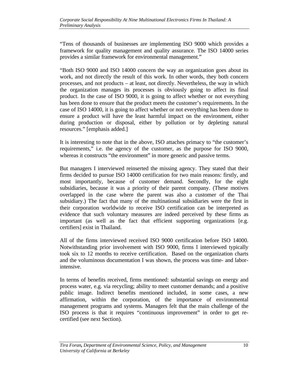"Tens of thousands of businesses are implementing ISO 9000 which provides a framework for quality management and quality assurance. The ISO 14000 series provides a similar framework for environmental management."

"Both ISO 9000 and ISO 14000 concern the way an organization goes about its work, and not directly the result of this work. In other words, they both concern processes, and not products – at least, not directly. Nevertheless, the way in which the organization manages its processes is obviously going to affect its final product. In the case of ISO 9000, it is going to affect whether or not everything has been done to ensure that the product meets the customer's requirements. In the case of ISO 14000, it is going to affect whether or not everything has been done to ensure a product will have the least harmful impact on the environment, either during production or disposal, either by pollution or by depleting natural resources." [emphasis added.]

It is interesting to note that in the above, ISO attaches primacy to "the customer's requirements," i.e. the agency of the customer, as the purpose for ISO 9000, whereas it constructs "the environment" in more generic and passive terms.

But managers I interviewed reinserted the missing agency. They stated that their firms decided to pursue ISO 14000 certification for two main reasons: firstly, and most importantly, because of customer demand. Secondly, for the eight subsidiaries, because it was a priority of their parent company. (These motives overlapped in the case where the parent was also a customer of the Thai subsidiary.) The fact that many of the multinational subsidiaries were the first in their corporation worldwide to receive ISO certification can be interpreted as evidence that such voluntary measures are indeed perceived by these firms as important (as well as the fact that efficient supporting organizations [e.g. certifiers] exist in Thailand.

All of the firms interviewed received ISO 9000 certification before ISO 14000. Notwithstanding prior involvement with ISO 9000, firms I interviewed typically took six to 12 months to receive certification. Based on the organization charts and the voluminous documentation I was shown, the process was time- and laborintensive.

In terms of benefits received, firms mentioned: substantial savings on energy and process water, e.g. via recycling; ability to meet customer demands; and a positive public image. Indirect benefits mentioned included, in some cases, a new affirmation, within the corporation, of the importance of environmental management programs and systems. Managers felt that the main challenge of the ISO process is that it requires "continuous improvement" in order to get recertified (see next Section).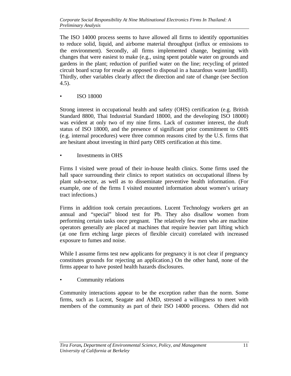The ISO 14000 process seems to have allowed all firms to identify opportunities to reduce solid, liquid, and airborne material throughput (influx or emissions to the environment). Secondly, all firms implemented change, beginning with changes that were easiest to make (e.g., using spent potable water on grounds and gardens in the plant; reduction of purified water on the line; recycling of printed circuit board scrap for resale as opposed to disposal in a hazardous waste landfill). Thirdly, other variables clearly affect the direction and rate of change (see Section 4.5).

• ISO 18000

Strong interest in occupational health and safety (OHS) certification (e.g. British Standard 8800, Thai Industrial Standard 18000, and the developing ISO 18000) was evident at only two of my nine firms. Lack of customer interest, the draft status of ISO 18000, and the presence of significant prior commitment to OHS (e.g. internal procedures) were three common reasons cited by the U.S. firms that are hesitant about investing in third party OHS certification at this time.

• Investments in OHS

Firms I visited were proud of their in-house health clinics. Some firms used the hall space surrounding their clinics to report statistics on occupational illness by plant sub-sector, as well as to disseminate preventive health information. (For example, one of the firms I visited mounted information about women's urinary tract infections.)

Firms in addition took certain precautions. Lucent Technology workers get an annual and "special" blood test for Pb. They also disallow women from performing certain tasks once pregnant. The relatively few men who are machine operators generally are placed at machines that require heavier part lifting which (at one firm etching large pieces of flexible circuit) correlated with increased exposure to fumes and noise.

While I assume firms test new applicants for pregnancy it is not clear if pregnancy constitutes grounds for rejecting an application.) On the other hand, none of the firms appear to have posted health hazards disclosures.

• Community relations

Community interactions appear to be the exception rather than the norm. Some firms, such as Lucent, Seagate and AMD, stressed a willingness to meet with members of the community as part of their ISO 14000 process. Others did not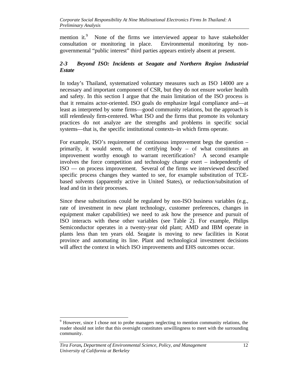mention it.<sup>9</sup> None of the firms we interviewed appear to have stakeholder consultation or monitoring in place. Environmental monitoring by nongovernmental "public interest" third parties appears entirely absent at present.

# *2-3 Beyond ISO: Incidents at Seagate and Northern Region Industrial Estate*

In today's Thailand, systematized voluntary measures such as ISO 14000 are a necessary and important component of CSR, but they do not ensure worker health and safety. In this section I argue that the main limitation of the ISO process is that it remains actor-oriented. ISO goals do emphasize legal compliance and—at least as interpreted by some firms—good community relations, but the approach is still relentlessly firm-centered. What ISO and the firms that promote its voluntary practices do not analyze are the strengths and problems in specific social systems—that is, the specific institutional contexts–in which firms operate.

For example, ISO's requirement of continuous improvement begs the question – primarily, it would seem, of the certifying body – of what constitutes an improvement worthy enough to warrant recertification? A second example involves the force competition and technology change exert – independently of ISO — on process improvement. Several of the firms we interviewed described specific process changes they wanted to see, for example substitution of TCEbased solvents (apparently active in United States), or reduction/subsitution of lead and tin in their processes.

Since these substitutions could be regulated by non-ISO business variables (e.g., rate of investment in new plant technology, customer preferences, changes in equipment maker capabilities) we need to ask how the presence and pursuit of ISO interacts with these other variables (see Table 2). For example, Philips Semiconductor operates in a twenty-year old plant; AMD and IBM operate in plants less than ten years old. Seagate is moving to new facilities in Korat province and automating its line. Plant and technological investment decisions will affect the context in which ISO improvements and EHS outcomes occur.

<sup>&</sup>lt;sup>9</sup> However, since I chose not to probe managers neglecting to mention community relations, the reader should not infer that this oversight constitutes unwillingness to meet with the surrounding community.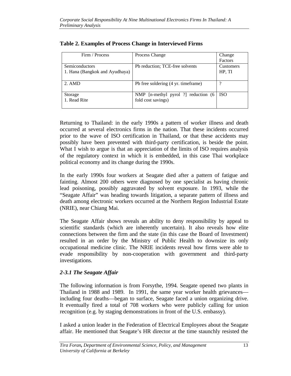| Firm / Process                 | Process Change                      | Change     |
|--------------------------------|-------------------------------------|------------|
|                                |                                     | Factors    |
| Semiconductors                 | Pb reduction; TCE-free solvents     | Customers  |
| 1. Hana (Bangkok and Ayudhaya) |                                     | HP, TI     |
|                                |                                     |            |
| 2. AMD                         | Pb free soldering (4 yr. timeframe) |            |
|                                |                                     |            |
| Storage                        | NMP [n-methyl pyrol ?] reduction (6 | <b>ISO</b> |
| 1. Read Rite                   | fold cost savings)                  |            |
|                                |                                     |            |

#### **Table 2. Examples of Process Change in Interviewed Firms**

Returning to Thailand: in the early 1990s a pattern of worker illness and death occurred at several electronics firms in the nation. That these incidents occurred prior to the wave of ISO certification in Thailand, or that these accidents may possibly have been prevented with third-party certification, is beside the point. What I wish to argue is that an appreciation of the limits of ISO requires analysis of the regulatory context in which it is embedded, in this case Thai workplace political economy and its change during the 1990s.

In the early 1990s four workers at Seagate died after a pattern of fatigue and fainting. Almost 200 others were diagnosed by one specialist as having chronic lead poisoning, possibly aggravated by solvent exposure. In 1993, while the "Seagate Affair" was heading towards litigation, a separate pattern of illness and death among electronic workers occurred at the Northern Region Industrial Estate (NRIE), near Chiang Mai.

The Seagate Affair shows reveals an ability to deny responsibility by appeal to scientific standards (which are inherently uncertain). It also reveals how elite connections between the firm and the state (in this case the Board of Investment) resulted in an order by the Ministry of Public Health to downsize its only occupational medicine clinic. The NRIE incidents reveal how firms were able to evade responsibility by non-cooperation with government and third-party investigations.

## *2-3.1 The Seagate Affair*

The following information is from Forsythe, 1994. Seagate opened two plants in Thailand in 1988 and 1989. In 1991, the same year worker health grievances including four deaths—began to surface, Seagate faced a union organizing drive. It eventually fired a total of 708 workers who were publicly calling for union recognition (e.g. by staging demonstrations in front of the U.S. embassy).

I asked a union leader in the Federation of Electrical Employees about the Seagate affair. He mentioned that Seagate's HR director at the time staunchly resisted the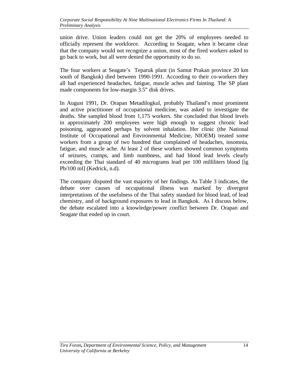union drive. Union leaders could not get the 20% of employees needed to officially represent the workforce. According to Seagate, when it became clear that the company would not recognize a union, most of the fired workers asked to go back to work, but all were denied the opportunity to do so.

The four workers at Seagate's Teparuk plant (in Samut Prakan province 20 km south of Bangkok) died between 1990-1991. According to their co-workers they all had experienced headaches, fatigue, muscle aches and fainting. The SP plant made components for low-margin 3.5" disk drives.

In August 1991, Dr. Orapan Metadilogkul, probably Thailand's most prominent and active practitioner of occupational medicine, was asked to investigate the deaths. She sampled blood from 1,175 workers. She concluded that blood levels in approximately 200 employees were high enough to suggest chronic lead poisoning, aggravated perhaps by solvent inhalation. Her clinic (the National Institute of Occupational and Environmental Medicine, NIOEM) treated some workers from a group of two hundred that complained of headaches, insomnia, fatigue, and muscle ache. At least 2 of these workers showed common symptoms of seizures, cramps, and limb numbness, and had blood lead levels clearly exceeding the Thai standard of 40 micrograms lead per 100 milliliters blood [ìg Pb/100 ml] (Kedrick, n.d).

The company disputed the vast majority of her findings. As Table 3 indicates, the debate over causes of occupational illness was marked by divergent interpretations of the usefulness of the Thai safety standard for blood lead, of lead chemistry, and of background exposures to lead in Bangkok. As I discuss below, the debate escalated into a knowledge/power conflict between Dr. Orapan and Seagate that ended up in court.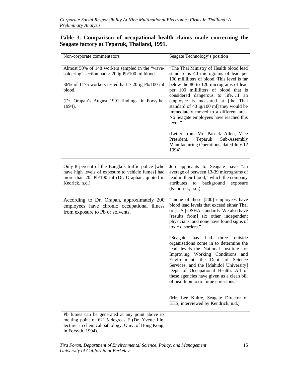#### **Table 3. Comparison of occupational health claims made concerning the Seagate factory at Teparuk, Thailand, 1991.**

| Non-corporate commentators                                                                                                                                                                                                         | Seagate Technology's position                                                                                                                                                                                                                                                                                                                                                                                                                                                                                                                                                                                                                                                                   |
|------------------------------------------------------------------------------------------------------------------------------------------------------------------------------------------------------------------------------------|-------------------------------------------------------------------------------------------------------------------------------------------------------------------------------------------------------------------------------------------------------------------------------------------------------------------------------------------------------------------------------------------------------------------------------------------------------------------------------------------------------------------------------------------------------------------------------------------------------------------------------------------------------------------------------------------------|
| Almost 50% of 148 workers sampled in the "wave-<br>soldering" section had $> 20$ ig Pb/100 ml blood.<br>36% of 1175 workers tested had $>$ 20 ig Pb/100 ml<br>blood.<br>(Dr. Orapan's August 1991 findings, in Forsythe,<br>1994). | "The Thai Ministry of Health blood lead<br>standard is 40 micrograms of lead per<br>100 milliliters of blood. This level is far<br>below the 80 to 120 micrograms of lead<br>per 100 milliliters of blood that is<br>considered dangerous to lifeif an<br>employee is measured at [the Thai<br>standard of 40 ig/100 ml] they would be<br>immediately moved to a different area.<br>No Seagate employees have reached this<br>level."<br>(Letter from Mr. Patrick Allen, Vice<br>Teparuk<br>President,<br>Sub-Assembly<br>Manufacturing Operations, dated July 12<br>1994).                                                                                                                     |
| Only 8 percent of the Bangkok traffic police [who<br>have high levels of exposure to vehicle fumes] had<br>more than 20ì Pb/100 ml (Dr. Oraphan, quoted in<br>Kedrick, n.d.).                                                      | Job applicants to Seagate have "an<br>average of between 13-39 micrograms of<br>lead in their blood," which the company<br>to background exposure<br>attributes<br>(Kendrick, n.d.).                                                                                                                                                                                                                                                                                                                                                                                                                                                                                                            |
| According to Dr. Orapan, approximately 200<br>employees have chronic occupational illness<br>from exposure to Pb or solvents.                                                                                                      | "none of these [200] employees have<br>blood lead levels that exceed either Thai<br>or [U.S.] OSHA standards. We also have<br>[results from] six other independent<br>physicians, and none have found signs of<br>toxic disorders."<br>"Seagate"<br>has<br>had three<br>outside<br>organisations come in to determine the<br>lead levelsthe National Institute for<br>Improving Working Conditions and<br>Environment, the Dept. of Science<br>Services, and the [Mahidol University]<br>Dept. of Occupational Health. All of<br>these agencies have given us a clean bill<br>of health on toxic fume emissions."<br>(Mr. Lee Kuhre, Seagate Director of<br>EHS, interviewed by Kendrick, n.d.) |
| Pb fumes can be generated at any point above its<br>melting point of 621.5 degrees F (Dr. Yvette Lin,<br>lecturer in chemical pathology, Univ. of Hong Kong,<br>in Forsyth, 1994).                                                 |                                                                                                                                                                                                                                                                                                                                                                                                                                                                                                                                                                                                                                                                                                 |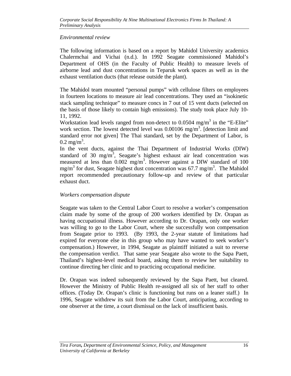#### *Environmental review*

The following information is based on a report by Mahidol University academics Chalermchai and Vichai (n.d.). In 1992 Seagate commissioned Mahidol's Department of OHS (in the Faculty of Public Health) to measure levels of airborne lead and dust concentrations in Teparuk work spaces as well as in the exhaust ventilation ducts (that release outside the plant).

The Mahidol team mounted "personal pumps" with cellulose filters on employees in fourteen locations to measure air lead concentrations. They used an "isokinetic stack sampling technique" to measure concs in 7 out of 15 vent ducts (selected on the basis of those likely to contain high emissions). The study took place July 10- 11, 1992.

Workstation lead levels ranged from non-detect to  $0.0504$  mg/m<sup>3</sup> in the "E-Elite" work section. The lowest detected level was  $0.00106$  mg/m<sup>3</sup>. [detection limit and standard error not given] The Thai standard, set by the Department of Labor, is  $0.2 \text{ mg/m}^3$ .

In the vent ducts, against the Thai Department of Industrial Works (DIW) standard of 30 mg/m<sup>3</sup>, Seagate's highest exhaust air lead concentration was measured at less than 0.002 mg/m<sup>3</sup>. However against a DIW standard of 100 mg/m<sup>3</sup> for dust, Seagate highest dust concentration was 67.7 mg/m<sup>3</sup>. The Mahidol report recommended precautionary follow-up and review of that particular exhaust duct.

## *Workers compensation dispute*

Seagate was taken to the Central Labor Court to resolve a worker's compensation claim made by some of the group of 200 workers identified by Dr. Orapan as having occupational illness. However according to Dr. Orapan, only one worker was willing to go to the Labor Court, where she successfully won compensation from Seagate prior to 1993. (By 1993, the 2-year statute of limitations had expired for everyone else in this group who may have wanted to seek worker's compensation.) However, in 1994, Seagate as plaintiff initiated a suit to reverse the compensation verdict. That same year Seagate also wrote to the Sapa Paett, Thailand's highest-level medical board, asking them to review her suitability to continue directing her clinic and to practicing occupational medicine.

Dr. Orapan was indeed subsequently reviewed by the Sapa Paett, but cleared. However the Ministry of Public Health re-assigned all six of her staff to other offices. (Today Dr. Orapan's clinic is functioning but runs on a leaner staff.) In 1996, Seagate withdrew its suit from the Labor Court, anticipating, according to one observer at the time, a court dismissal on the lack of insufficient basis.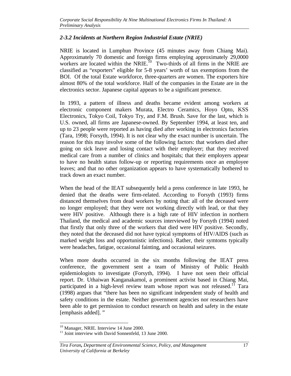#### *2-3.2 Incidents at Northern Region Industrial Estate (NRIE)*

NRIE is located in Lumphun Province (45 minutes away from Chiang Mai). Approximately 70 domestic and foreign firms employing approximately 29,0000 workers are located within the NRIE.<sup>10</sup> Two-thirds of all firms in the NRIE are classified as "exporters" eligible for 5-8 years' worth of tax exemptions from the BOI. Of the total Estate workforce, three-quarters are women. The exporters hire almost 80% of the total workforce. Half of the companies in the Estate are in the electronics sector. Japanese capital appears to be a significant presence.

In 1993, a pattern of illness and deaths became evident among workers at electronic component makers Murata, Electro Ceramics, Hoyo Opto, KSS Electronics, Tokyo Coil, Tokyo Try, and F.M. Brush. Save for the last, which is U.S. owned, all firms are Japanese-owned. By September 1994, at least ten, and up to 23 people were reported as having died after working in electronics factories (Tara, 1998; Forsyth, 1994). It is not clear why the exact number is uncertain. The reason for this may involve some of the following factors: that workers died after going on sick leave and losing contact with their employer; that they received medical care from a number of clinics and hospitals; that their employers appear to have no health status follow-up or reporting requirements once an employee leaves; and that no other organization appears to have systematically bothered to track down an exact number.

When the head of the IEAT subsequently held a press conference in late 1993, he denied that the deaths were firm-related. According to Forsyth (1993) firms distanced themselves from dead workers by noting that: all of the deceased were no longer employed; that they were not working directly with lead, or that they were HIV positive. Although there is a high rate of HIV infection in northern Thailand, the medical and academic sources interviewed by Forsyth (1994) noted that firstly that only three of the workers that died were HIV positive. Secondly, they noted that the deceased did not have typical symptoms of HIV/AIDS (such as marked weight loss and opportunistic infections). Rather, their symtoms typically were headaches, fatigue, occasional fainting, and occasional seizures.

When more deaths occurred in the six months following the IEAT press conference, the government sent a team of Ministry of Public Health epidemiologists to investigate (Forsyth, 1994). I have not seen their official report. Dr. Uthaiwan Kanganakamol, a prominent activist based in Chiang Mai, participated in a high-level review team whose report was not released.<sup>11</sup> Tara (1998) argues that "there has been no significant independent study of health and safety conditions in the estate. Neither government agencies nor researchers have been able to get permission to conduct research on health and safety in the estate [emphasis added]."

<sup>-</sup><sup>10</sup> Manager, NRIE. Interview 14 June 2000.

<sup>&</sup>lt;sup>11</sup> Joint interview with David Sonnenfeld, 13 June 2000.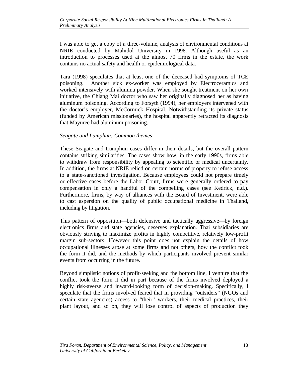I was able to get a copy of a three-volume, analysis of environmental conditions at NRIE conducted by Mahidol University in 1998. Although useful as an introduction to processes used at the almost 70 firms in the estate, the work contains no actual safety and health or epidemiological data.

Tara (1998) speculates that at least one of the deceased had symptoms of TCE poisoning. Another sick ex-worker was employed by Electroceramics and worked intensively with alumina powder. When she sought treatment on her own initiative, the Chiang Mai doctor who saw her originally diagnosed her as having aluminum poisoning. According to Forsyth (1994), her employers intervened with the doctor's employer, McCormick Hospital. Notwithstanding its private status (funded by American missionaries), the hospital apparently retracted its diagnosis that Mayuree had aluminum poisoning.

#### *Seagate and Lumphun: Common themes*

These Seagate and Lumphun cases differ in their details, but the overall pattern contains striking similarities. The cases show how, in the early 1990s, firms able to withdraw from responsibility by appealing to scientific or medical uncertainty. In addition, the firms at NRIE relied on certain norms of property to refuse access to a state-sanctioned investigation. Because employees could not prepare timely or effective cases before the Labor Court, firms were generally ordered to pay compensation in only a handful of the compelling cases (see Kedrick, n.d.). Furthermore, firms, by way of alliances with the Board of Investment, were able to cast aspersion on the quality of public occupational medicine in Thailand, including by litigation.

This pattern of opposition—both defensive and tactically aggressive—by foreign electronics firms and state agencies, deserves explanation. Thai subsidiaries are obviously striving to maximize profits in highly competitive, relatively low-profit margin sub-sectors. However this point does not explain the details of how occupational illnesses arose at some firms and not others, how the conflict took the form it did, and the methods by which participants involved prevent similar events from occurring in the future.

Beyond simplistic notions of profit-seeking and the bottom line, I venture that the conflict took the form it did in part because of the firms involved deployed a highly risk-averse and inward-looking form of decision-making. Specifically, I speculate that the firms involved feared that in providing "outsiders" (NGOs and certain state agencies) access to "their" workers, their medical practices, their plant layout, and so on, they will lose control of aspects of production they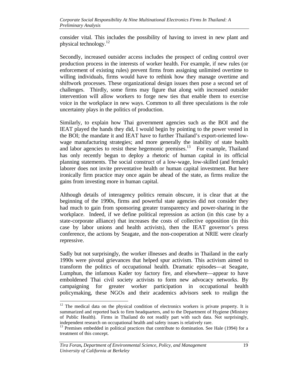consider vital. This includes the possibility of having to invest in new plant and physical technology. $^{12}$ 

Secondly, increased outsider access includes the prospect of ceding control over production process in the interests of worker health. For example, if new rules (or enforcement of existing rules) prevent firms from assigning unlimited overtime to willing individuals, firms would have to rethink how they manage overtime and shiftwork processes. These organizational design issues then pose a second set of challenges. Thirdly, some firms may figure that along with increased outsider intervention will allow workers to forge new ties that enable them to exercise voice in the workplace in new ways. Common to all three speculations is the role uncertainty plays in the politics of production.

Similarly, to explain how Thai government agencies such as the BOI and the IEAT played the hands they did, I would begin by pointing to the power vested in the BOI; the mandate it and IEAT have to further Thailand's export-oriented lowwage manufacturing strategies; and more generally the inability of state health and labor agencies to resist these hegemonic premises.<sup>13</sup> For example, Thailand has only recently begun to deploy a rhetoric of human capital in its official planning statements. The social construct of a low-wage, low-skilled (and female) laborer does not invite preventative health or human capital investment. But here ironically firm practice may once again be ahead of the state, as firms realize the gains from investing more in human capital.

Although details of interagency politics remain obscure, it is clear that at the beginning of the 1990s, firms and powerful state agencies did not consider they had much to gain from sponsoring greater transparency and power-sharing in the workplace. Indeed, if we define political repression as action (in this case by a state-corporate alliance) that increases the costs of collective opposition (in this case by labor unions and health activists), then the IEAT governor's press conference, the actions by Seagate, and the non-cooperation at NRIE were clearly repressive.

Sadly but not surprisingly, the worker illnesses and deaths in Thailand in the early 1990s were pivotal grievances that helped spur activism. This activism aimed to transform the politics of occupational health. Dramatic episodes—at Seagate, Lumphun, the infamous Kader toy factory fire, and elsewhere—appear to have emboldened Thai civil society activists to form new advocacy networks. By campaigning for greater worker participation in occupational health policymaking, these NGOs and their academics advisors seek to realign the

-

 $12$  The medical data on the physical condition of electronics workers is private property. It is summarized and reported back to firm headquarters, and to the Department of Hygiene (Ministry of Public Health). Firms in Thailand do not readily part with such data. Not surprisingly, independent research on occupational health and safety issues is relatively rare.

 $13$  Premises embedded in political practices that contribute to domination. See Hale (1994) for a treatment of this concept.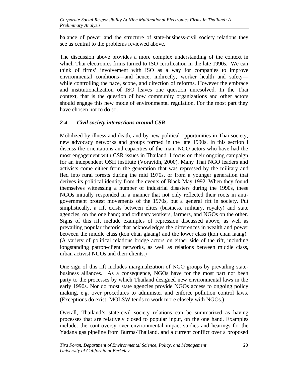balance of power and the structure of state-business-civil society relations they see as central to the problems reviewed above.

The discussion above provides a more complex understanding of the context in which Thai electronics firms turned to ISO certification in the late 1990s. We can think of firms' involvement with ISO as a way for companies to improve environmental conditions—and hence, indirectly, worker health and safety while controlling the pace, scope, and direction of reforms. However the embrace and institutionalization of ISO leaves one question unresolved. In the Thai context, that is the question of how community organizations and other actors should engage this new mode of environmental regulation. For the most part they have chosen not to do so.

# *2-4 Civil society interactions around CSR*

Mobilized by illness and death, and by new political opportunities in Thai society, new advocacy networks and groups formed in the late 1990s. In this section I discuss the orientations and capacities of the main NGO actors who have had the most engagement with CSR issues in Thailand. I focus on their ongoing campaign for an independent OSH institute (Voravidh, 2000). Many Thai NGO leaders and activists come either from the generation that was repressed by the military and fled into rural forests during the mid 1970s, or from a younger generation that derives its political identity from the events of Black May 1992. When they found themselves witnessing a number of industrial disasters during the 1990s, these NGOs initially responded in a manner that not only reflected their roots in antigovernment protest movements of the 1970s, but a general rift in society. Put simplistically, a rift exists between elites (business, military, royalty) and state agencies, on the one hand; and ordinary workers, farmers, and NGOs on the other. Signs of this rift include examples of repression discussed above, as well as prevailing popular rhetoric that acknowledges the differences in wealth and power between the middle class (kon chan glaang) and the lower class (kon chan laang). (A variety of political relations bridge actors on either side of the rift, including longstanding patron-client networks, as well as relations between middle class, urban activist NGOs and their clients.)

One sign of this rift includes marginalization of NGO groups by prevailing statebusiness alliances. As a consequence, NGOs have for the most part not been party to the processes by which Thailand designed new environmental laws in the early 1990s. Nor do most state agencies provide NGOs access to ongoing policy making, e.g. over procedures to administer and enforce pollution control laws. (Exceptions do exist: MOLSW tends to work more closely with NGOs.)

Overall, Thailand's state-civil society relations can be summarized as having processes that are relatively closed to popular input, on the one hand. Examples include: the controversy over environmental impact studies and hearings for the Yadana gas pipeline from Burma-Thailand, and a current conflict over a proposed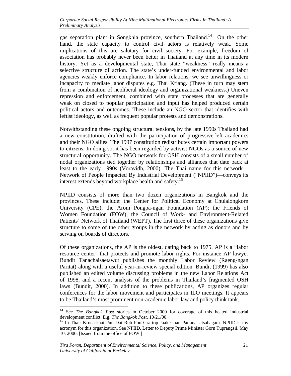gas separation plant in Songkhla province, southern Thailand.<sup>14</sup> On the other hand, the state capacity to control civil actors is relatively weak. Some implications of this are salutary for civil society. For example, freedom of association has probably never been better in Thailand at any time in its modern history. Yet as a developmental state, Thai state "weakness" really means a selective structure of action. The state's under-funded environmental and labor agencies weakly enforce compliance. In labor relations, we see unwillingness or incapacity to mediate labor disputes e.g. Thai Kriang. (These in turn may stem from a combination of neoliberal ideology and organizational weakness.) Uneven repression and enforcement, combined with state processes that are generally weak on closed to popular participation and input has helped produced certain political actors and outcomes. These include an NGO sector that identifies with leftist ideology, as well as frequent popular protests and demonstrations.

Notwithstanding these ongoing structural tensions, by the late 1990s Thailand had a new constitution, drafted with the participation of progressive-left academics and their NGO allies. The 1997 constitution redistributes certain important powers to citizens. In doing so, it has been regarded by activist NGOs as a source of new structural opportunity. The NGO network for OSH consists of a small number of nodal organizations tied together by relationships and alliances that date back at least to the early 1990s (Voravidh, 2000). The Thai name for this network— Network of People Impacted By Industrial Development ("NPIID")—conveys its interest extends beyond workplace health and safety.<sup>15</sup>

NPIID consists of more than two dozen organizations in Bangkok and the provinces. These include: the Center for Political Economy at Chulalongkorn University (CPE); the Arom Pongpa-ngan Foundation (AP); the Friends of Women Foundation (FOW); the Council of Work- and Environment-Related Patients' Network of Thailand (WEPT). The first three of these organizations give structure to some of the other groups in the network by acting as donors and by serving on boards of directors.

Of these organizations, the AP is the oldest, dating back to 1975. AP is a "labor resource center" that protects and promote labor rights. For instance AP lawyer Bundit Tanachaisaetawut publishes the monthly Labor Review (Raeng-ngan Paritat) along with a useful year-in-review special edition. Bundit (1999) has also published an edited volume discussing problems in the new Labor Relations Act of 1998, and a recent analysis of the problems in Thailand's fragmented OSH laws (Bundit, 2000). In addition to these publications, AP organizes regular conferences for the labor movement and participates in ILO meetings. It appears to be Thailand's most prominent non-academic labor law and policy think tank.

 $14$ <sup>14</sup> See *The Bangkok Post* stories in October 2000 for coverage of this heated industrial development conflict. E.g. *The Bangkok Post*, 10/21/00.

<sup>&</sup>lt;sup>15</sup> In Thai: Kruea-kaai Puu Dai Rub Pon Gra-top Jaak Gaan Pattana Utsahagam. NPIID is my acronym for this organization. See NPIID, Letter to Deputy Prime Minister Gorn Tuprangsii, May 10, 2000. [Issued from the office of FOW.]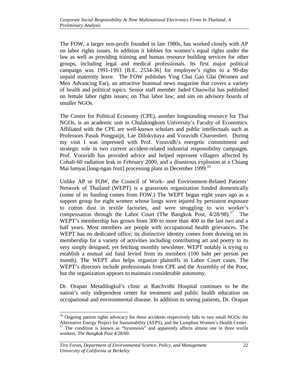The FOW, a larger non-profit founded in late 1980s, has worked closely with AP on labor rights issues. In addition it lobbies for women's equal rights under the law as well as providing training and human resource building services for other groups, including legal and medical professionals. Its first major political campaign was 1991-1993 [B.E. 2534-36] for employee's rights to a 90-day unpaid maternity leave. The FOW publishes Ying Chai Gao Glai (Women and Men Advancing Far), an attractive biannual news magazine that covers a variety of health and political topics. Senior staff member Jaded Chaowilai has published on female labor rights issues; on Thai labor law; and sits on advisory boards of smaller NGOs.

The Center for Political Economy (CPE), another longstanding resource for Thai NGOs, is an academic unit in Chulalongkorn University's Faculty of Economics. Affiliated with the CPE are well-known scholars and public intellectuals such as Professors Pasuk Pongpaijit, Lae Dilokvitaya and Voravidh Charoenlert. During my visit I was impressed with Prof. Voravidh's energetic commitment and strategic role in two current accident-related industrial responsibility campaigns. Prof. Voravidh has provided advice and helped represent villagers affected by Cobalt-60 radiation leak in February 2000, and a disastrous explosion at a Chiang Mai lumyai [long-ngan fruit] processing plant in December 1999.<sup>16</sup>

Unlike AP or FOW, the Council of Work- and Environment-Related Patients' Network of Thailand (WEPT) is a grassroots organization funded domestically (some of its funding comes from FOW.) The WEPT began eight years ago as a support group for eight women whose lungs were injured by persistent exposure to cotton dust in textile factories, and were struggling to win worker's compensation through the Labor Court (The Bangkok Post,  $4/28/98$ ).<sup>17</sup> The WEPT's membership has grown from 300 to more than 400 in the last two and a half years. Most members are people with occupational health grievances. The WEPT has no dedicated office; its distinctive identity comes from drawing on its membership for a variety of activities including contributing art and poetry to its very simply designed, yet fetching monthly newsletter. WEPT notably is trying to establish a mutual aid fund levied from its members (100 baht per person per month). The WEPT also helps organize plaintiffs in Labor Court cases. The WEPT's directors include professionals from CPE and the Assembly of the Poor, but the organization appears to maintain considerable autonomy.

Dr. Orapan Metadilogkul's clinic at Ratchvithi Hospital continues to be the nation's only independent center for treatment and public health education on occupational and environmental disease. In addition to seeing patients, Dr. Orapan

 $\overline{a}$ <sup>16</sup> Ongoing patient rights advocacy for these accidents respectively falls to two small NGOs: the Alternative Energy Project for Sustainability (AEPS), and the Lumphun Women's Health Center.

<sup>&</sup>lt;sup>17</sup> The condition is known as "bysinnosis" and apparently affects almost one in three textile workers. *The Bangkok Post* 4/28/00.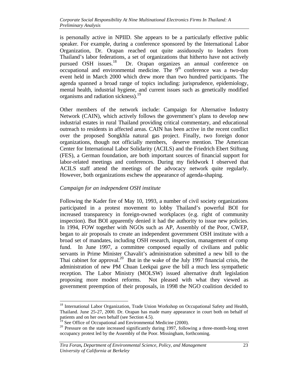is personally active in NPIID. She appears to be a particularly effective public speaker. For example, during a conference sponsored by the International Labor Organization, Dr. Orapan reached out quite assiduously to leaders from Thailand's labor federations, a set of organizations that hitherto have not actively pursued OSH issues.<sup>18</sup> Dr. Orapan organizes an annual conference on Dr. Orapan organizes an annual conference on  $\alpha$  occupational and environmental medicine. The  $9<sup>th</sup>$  conference was a two-day event held in March 2000 which drew more than two hundred participants. The agenda spanned a broad range of topics including: jurisprudence, epidemiology, mental health, industrial hygiene, and current issues such as genetically modified organisms and radiation sickness).<sup>19</sup>

Other members of the network include: Campaign for Alternative Industry Network (CAIN), which actively follows the government's plans to develop new industrial estates in rural Thailand providing critical commentary, and educational outreach to residents in affected areas. CAIN has been active in the recent conflict over the proposed Songkhla natural gas project. Finally, two foreign donor organizations, though not officially members, deserve mention. The American Center for International Labor Solidarity (ACILS) and the Friedrich Ebert Stiftung (FES), a German foundation, are both important sources of financial support for labor-related meetings and conferences. During my fieldwork I observed that ACILS staff attend the meetings of the advocacy network quite regularly. However, both organizations eschew the appearance of agenda-shaping.

#### *Campaign for an independent OSH institute*

Following the Kader fire of May 10, 1993, a number of civil society organizations participated in a protest movement to lobby Thailand's powerful BOI for increased transparency in foreign-owned workplaces (e.g. right of community inspection). But BOI apparently denied it had the authority to issue new policies. In 1994, FOW together with NGOs such as AP, Assembly of the Poor, CWEP, began to air proposals to create an independent government OSH institute with a broad set of mandates, including OSH research, inspection, management of comp fund. In June 1997, a committee composed equally of civilians and public servants in Prime Minister Chavalit's administration submitted a new bill to the Thai cabinet for approval.<sup>20</sup> But in the wake of the July 1997 financial crisis, the administration of new PM Chuan Leekpai gave the bill a much less sympathetic reception. The Labor Ministry (MOLSW) issued alternative draft legislation proposing more modest reforms. Not pleased with what they viewed as government preemption of their proposals, in 1998 the NGO coalition decided to

-

<sup>&</sup>lt;sup>18</sup> International Labor Organization, Trade Union Workshop on Occupational Safety and Health, Thailand. June 25-27, 2000. Dr. Orapan has made many appearance in court both on behalf of patients and on her own behalf (see Section 4.5).

 $\frac{1}{19}$  See Office of Occupational and Environmental Medicine (2000).

<sup>&</sup>lt;sup>20</sup> Pressure on the state increased significantly during 1997, following a three-month-long street occupancy protest led by the Assembly of the Poor. Missingham, forthcoming.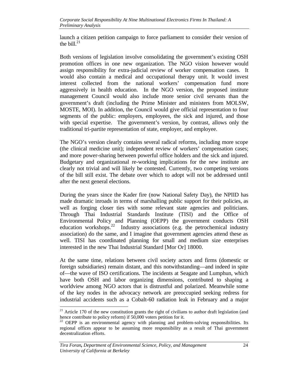launch a citizen petition campaign to force parliament to consider their version of the bill. $^{21}$ 

Both versions of legislation involve consolidating the government's existing OSH promotion offices in one new organization. The NGO vision however would assign responsibility for extra-judicial review of worker compensation cases. It would also contain a medical and occupational therapy unit. It would invest interest collected from the national workers' compensation fund more aggressively in health education. In the NGO version, the proposed institute management Council would also include more senior civil servants than the government's draft (including the Prime Minister and ministers from MOLSW, MOSTE, MOI). In addition, the Council would give official representation to four segments of the public: employers, employees, the sick and injured, and those with special expertise. The government's version, by contrast, allows only the traditional tri-partite representation of state, employer, and employee.

The NGO's version clearly contains several radical reforms, including more scope (the clinical medicine unit); independent review of workers' compensation cases; and more power-sharing between powerful office holders and the sick and injured. Budgetary and organizational re-working implications for the new institute are clearly not trivial and will likely be contested. Currently, two competing versions of the bill still exist. The debate over which to adopt will not be addressed until after the next general elections.

During the years since the Kader fire (now National Safety Day), the NPIID has made dramatic inroads in terms of marshalling public support for their policies, as well as forging closer ties with some relevant state agencies and politicians. Through Thai Industrial Standards Institute (TISI) and the Office of Environmental Policy and Planning (OEPP) the government conducts OSH education workshops.<sup>22</sup> Industry associations (e.g. the petrochemical industry association) do the same, and I imagine that government agencies attend these as well. TISI has coordinated planning for small and medium size enterprises interested in the new Thai Industrial Standard [Mor Or] 18000.

At the same time, relations between civil society actors and firms (domestic or foreign subsidiaries) remain distant, and this notwithstanding—and indeed in spite of—the wave of ISO certifications. The incidents at Seagate and Lumphun, which have both OSH and labor organizing dimensions, contributed to shaping a worldview among NGO actors that is distrustful and polarized. Meanwhile some of the key nodes in the advocacy network are preoccupied seeking redress for industrial accidents such as a Cobalt-60 radiation leak in February and a major

-

 $21$  Article 170 of the new constitution grants the right of civilians to author draft legislation (and hence contribute to policy reform) if 50,000 voters petition for it.

<sup>&</sup>lt;sup>22</sup> OEPP is an environmental agency with planning and problem-solving responsibilities. Its regional offices appear to be assuming more responsibility as a result of Thai government decentralization efforts.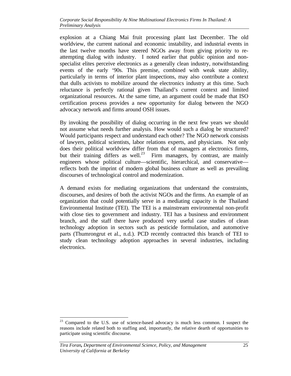explosion at a Chiang Mai fruit processing plant last December. The old worldview, the current national and economic instability, and industrial events in the last twelve months have steered NGOs away from giving priority to reattempting dialog with industry. I noted earlier that public opinion and nonspecialist elites perceive electronics as a generally clean industry, notwithstanding events of the early '90s. This premise, combined with weak state ability, particularly in terms of interior plant inspections, may also contribute a context that dulls activists to mobilize around the electronics industry at this time. Such reluctance is perfectly rational given Thailand's current context and limited organizational resources. At the same time, an argument could be made that ISO certification process provides a new opportunity for dialog between the NGO advocacy network and firms around OSH issues.

By invoking the possibility of dialog occurring in the next few years we should not assume what needs further analysis. How would such a dialog be structured? Would participants respect and understand each other? The NGO network consists of lawyers, political scientists, labor relations experts, and physicians. Not only does their political worldview differ from that of managers at electronics firms, but their training differs as well.<sup>23</sup> Firm managers, by contrast, are mainly engineers whose political culture—scientific, hierarchical, and conservative reflects both the imprint of modern global business culture as well as prevailing discourses of technological control and modernization.

A demand exists for mediating organizations that understand the constraints, discourses, and desires of both the activist NGOs and the firms. An example of an organization that could potentially serve in a mediating capacity is the Thailand Environmental Institute (TEI). The TEI is a mainstream environmental non-profit with close ties to government and industry. TEI has a business and environment branch, and the staff there have produced very useful case studies of clean technology adoption in sectors such as pesticide formulation, and automotive parts (Thumrongrut et al., n.d.). PCD recently contracted this branch of TEI to study clean technology adoption approaches in several industries, including electronics.

 $\overline{a}$  $23$  Compared to the U.S. use of science-based advocacy is much less common. I suspect the reasons include related both to staffing and, importantly, the relative dearth of opportunities to participate using scientific discourse.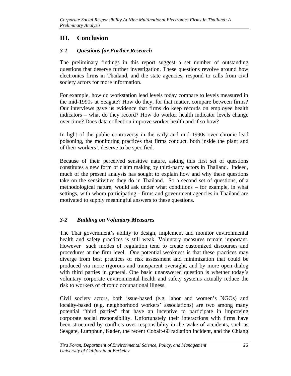# **III. Conclusion**

# *3-1 Questions for Further Research*

The preliminary findings in this report suggest a set number of outstanding questions that deserve further investigation. These questions revolve around how electronics firms in Thailand, and the state agencies, respond to calls from civil society actors for more information.

For example, how do workstation lead levels today compare to levels measured in the mid-1990s at Seagate? How do they, for that matter, compare between firms? Our interviews gave us evidence that firms do keep records on employee health indicators – what do they record? How do worker health indicator levels change over time? Does data collection improve worker health and if so how?

In light of the public controversy in the early and mid 1990s over chronic lead poisoning, the monitoring practices that firms conduct, both inside the plant and of their workers', deserve to be specified.

Because of their perceived sensitive nature, asking this first set of questions constitutes a new form of claim making by third-party actors in Thailand. Indeed, much of the present analysis has sought to explain how and why these questions take on the sensitivities they do in Thailand. So a second set of questions, of a methodological nature, would ask under what conditions – for example, in what settings, with whom participating - firms and government agencies in Thailand are motivated to supply meaningful answers to these questions.

# *3-2 Building on Voluntary Measures*

The Thai government's ability to design, implement and monitor environmental health and safety practices is still weak. Voluntary measures remain important. However such modes of regulation tend to create customized discourses and procedures at the firm level. One potential weakness is that these practices may diverge from best practices of risk assessment and minimization that could be produced via more rigorous and transparent oversight, and by more open dialog with third parties in general. One basic unanswered question is whether today's voluntary corporate environmental health and safety systems actually reduce the risk to workers of chronic occupational illness.

Civil society actors, both issue-based (e.g. labor and women's NGOs) and locality-based (e.g. neighborhood workers' associations) are two among many potential "third parties" that have an incentive to participate in improving corporate social responsibility. Unfortunately their interactions with firms have been structured by conflicts over responsibility in the wake of accidents, such as Seagate, Lumphun, Kader, the recent Cobalt-60 radiation incident, and the Chiang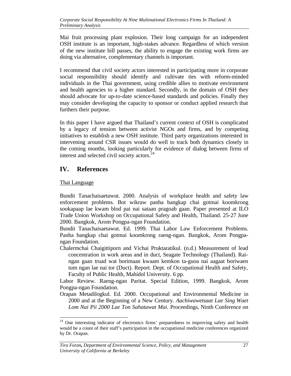Mai fruit processing plant explosion. Their long campaign for an independent OSH institute is an important, high-stakes advance. Regardless of which version of the new institute bill passes, the ability to engage the existing work firms are doing via alternative, complementary channels is important.

I recommend that civil society actors interested in participating more in corporate social responsibility should identify and cultivate ties with reform-minded individuals in the Thai government, using credible allies to motivate environment and health agencies to a higher standard. Secondly, in the domain of OSH they should advocate for up-to-date science-based standards and policies. Finally they may consider developing the capacity to sponsor or conduct applied research that furthers their purpose.

In this paper I have argued that Thailand's current context of OSH is complicated by a legacy of tension between activist NGOs and firms, and by competing initiatives to establish a new OSH institute. Third party organizations interested in intervening around CSR issues would do well to track both dynamics closely in the coming months, looking particularly for evidence of dialog between firms of interest and selected civil society actors.<sup>24</sup>

# **IV. References**

## Thai Language

Bundit Tanachaisaetawut. 2000. Analysis of workplace health and safety law enforcement problems. Bot wikraw panha bangkap chai gotmai koomkrong sookapaap lae kwam blod pai nai sataan pragoab gaan. Paper presented at ILO Trade Union Workshop on Occupational Safety and Health, Thailand. 25-27 June 2000. Bangkok, Arom Pongpa-ngan Foundation.

Bundit Tanachaisaetawut. Ed. 1999. Thai Labor Law Enforcement Problems. Panha bangkap chai gotmai koomkrong raeng-ngan. Bangkok, Arom Pongpangan Foundation.

Chalermchai Chaigittiporn and Vichai Pruktaratikul. (n.d.) Measurement of lead concentration in work areas and in duct, Seagate Technology (Thailand). Raingan gaan truad wat borimaan kwaam kemkon ta-guoa nai aagaat boriwaen tum ngan lae nai tor (Duct). Report. Dept. of Occupational Health and Safety, Faculty of Public Health, Mahidol University. 6 pp.

Labor Review. Raeng-ngan Paritat. Special Edition, 1999. Bangkok, Arom Pongpa-ngan Foundation.

Orapan Metadilogkul. Ed. 2000. Occupational and Environmental Medicine in 2000 and at the Beginning of a New Century. *Aachiwawetsaat Lae Sing Waet Lom Nai Pii 2000 Lae Ton Sahatawat Mai.* Proceedings, Ninth Conference on

<sup>-</sup> $24$  One interesting indicator of electronics firms' preparedness to improving safety and health would be a count of their staff's participation in the occupational medicine conferences organized by Dr. Orapan.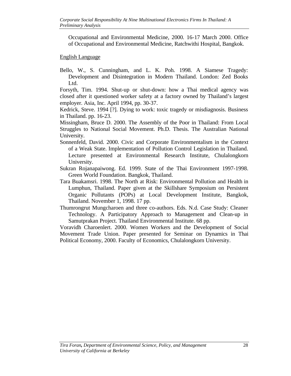Occupational and Environmental Medicine, 2000*.* 16-17 March 2000. Office of Occupational and Environmental Medicine, Ratchwithi Hospital, Bangkok.

#### English Language

Bello, W., S. Cunningham, and L. K. Poh. 1998. A Siamese Tragedy: Development and Disintegration in Modern Thailand. London: Zed Books Ltd.

Forsyth, Tim. 1994. Shut-up or shut-down: how a Thai medical agency was closed after it questioned worker safety at a factory owned by Thailand's largest employer. Asia, Inc. April 1994, pp. 30-37.

Kedrick, Steve. 1994 [?]. Dying to work: toxic tragedy or misdiagnosis. Business in Thailand. pp. 16-23.

Missingham, Bruce D. 2000. The Assembly of the Poor in Thailand: From Local Struggles to National Social Movement. Ph.D. Thesis. The Australian National University.

- Sonnenfeld, David. 2000. Civic and Corporate Environmentalism in the Context of a Weak State. Implementation of Pollution Control Legislation in Thailand. Lecture presented at Environmental Research Institute, Chulalongkorn University.
- Sukran Rojanapaiwong. Ed. 1999. State of the Thai Environment 1997-1998. Green World Foundation. Bangkok, Thailand.
- Tara Buakamsri. 1998. The North at Risk: Environmental Pollution and Health in Lumphun, Thailand. Paper given at the Skillshare Symposium on Persistent Organic Pollutants (POPs) at Local Development Institute, Bangkok, Thailand. November 1, 1998. 17 pp.
- Thumrongrut Mungcharoen and three co-authors. Eds. N.d. Case Study: Cleaner Technology. A Participatory Approach to Management and Clean-up in Samutprakan Project. Thailand Environmental Institute. 68 pp.

Voravidh Charoenlert. 2000. Women Workers and the Development of Social Movement Trade Union. Paper presented for Seminar on Dynamics in Thai Political Economy, 2000. Faculty of Economics, Chulalongkorn University.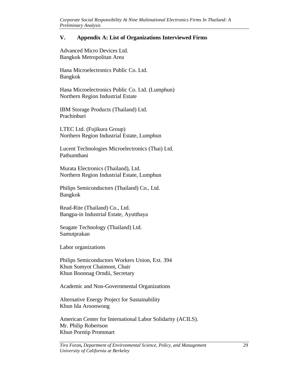#### **V. Appendix A: List of Organizations Interviewed Firms**

Advanced Micro Devices Ltd. Bangkok Metropolitan Area

Hana Microelectronics Public Co. Ltd. Bangkok

Hana Microelectronics Public Co. Ltd. (Lumphun) Northern Region Industrial Estate

IBM Storage Products (Thailand) Ltd. Prachinburi

LTEC Ltd. (Fujikura Group) Northern Region Industrial Estate, Lumphun

Lucent Technologies Microelectronics (Thai) Ltd. Pathumthani

Murata Electronics (Thailand), Ltd. Northern Region Industrial Estate, Lumphun

Philips Semiconductors (Thailand) Co., Ltd. Bangkok

Read-Rite (Thailand) Co., Ltd. Bangpa-in Industrial Estate, Ayutthaya

Seagate Technology (Thailand) Ltd. Samutprakan

Labor organizations

Philips Semiconductors Workers Union, Ext. 394 Khun Somyot Chaimoot, Chair Khun Boonnag Orndii, Secretary

Academic and Non-Governmental Organizations

Alternative Energy Project for Sustainability Khun Ida Aroonwong

American Center for International Labor Solidarity (ACILS). Mr. Philip Robertson Khun Porntip Prommart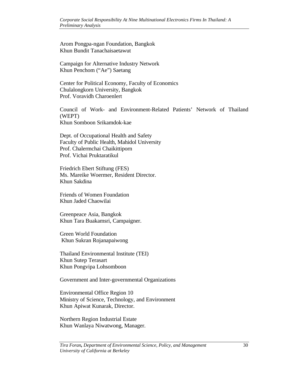Arom Pongpa-ngan Foundation, Bangkok Khun Bundit Tanachaisaetawut

Campaign for Alternative Industry Network Khun Penchom ("Ae") Saetang

Center for Political Economy, Faculty of Economics Chulalongkorn University, Bangkok Prof. Voravidh Charoenlert

Council of Work- and Environment-Related Patients' Network of Thailand (WEPT) Khun Somboon Srikamdok-kae

Dept. of Occupational Health and Safety Faculty of Public Health, Mahidol University Prof. Chalermchai Chaikittiporn Prof. Vichai Pruktaratikul

Friedrich Ebert Stiftung (FES) Ms. Mareike Woermer, Resident Director. Khun Sakdina

Friends of Women Foundation Khun Jaded Chaowilai

Greenpeace Asia, Bangkok Khun Tara Buakamsri, Campaigner.

Green World Foundation Khun Sukran Rojanapaiwong

Thailand Environmental Institute (TEI) Khun Sutep Terasart Khun Pongvipa Lohsomboon

Government and Inter-governmental Organizations

Environmental Office Region 10 Ministry of Science, Technology, and Environment Khun Apiwat Kunarak, Director.

Northern Region Industrial Estate Khun Wanlaya Niwatwong, Manager.